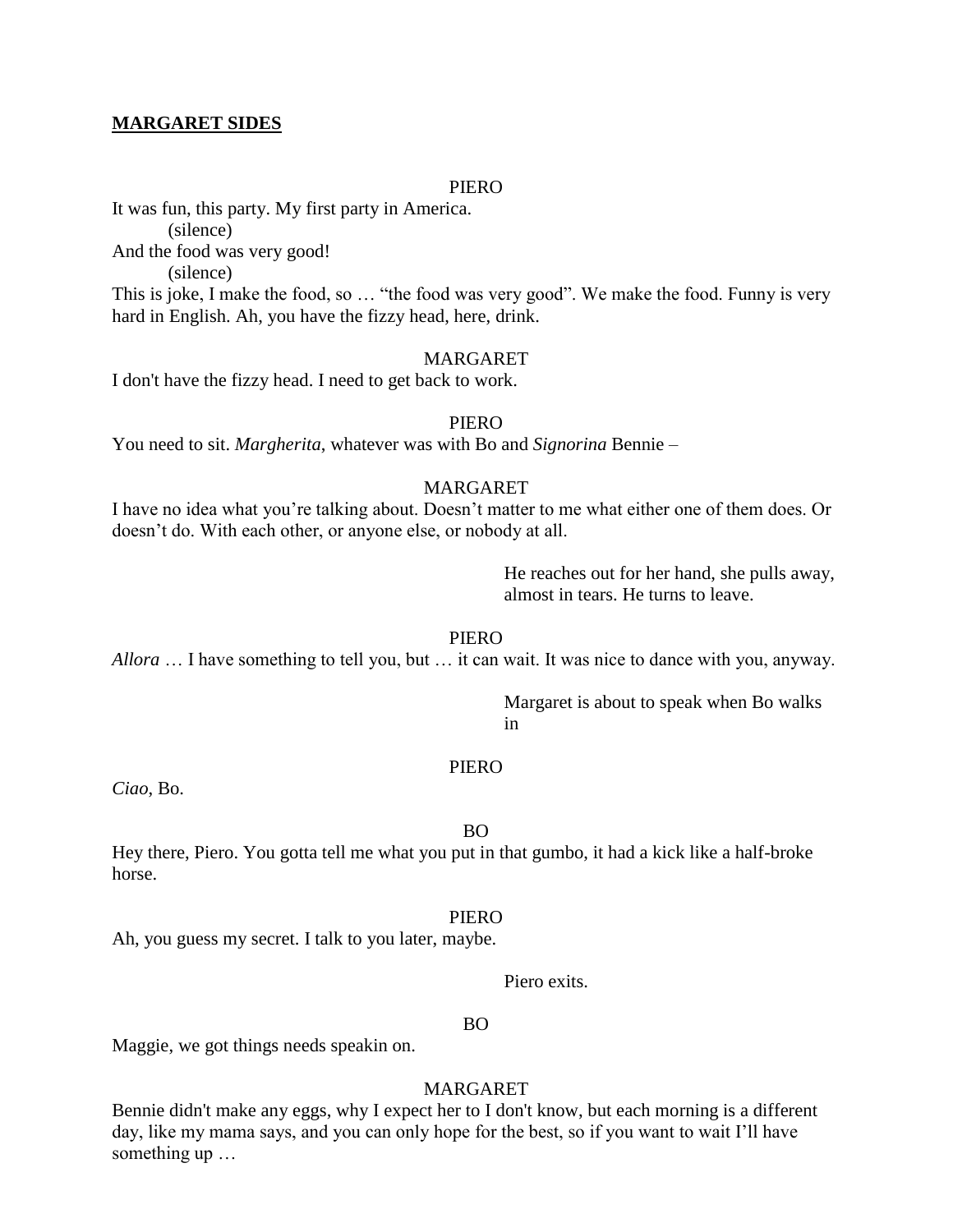## **MARGARET SIDES**

## PIERO

It was fun, this party. My first party in America. (silence) And the food was very good! (silence)

This is joke, I make the food, so … "the food was very good". We make the food. Funny is very hard in English. Ah, you have the fizzy head, here, drink.

## MARGARET

I don't have the fizzy head. I need to get back to work.

#### PIERO

You need to sit. *Margherita*, whatever was with Bo and *Signorina* Bennie –

# MARGARET

I have no idea what you're talking about. Doesn't matter to me what either one of them does. Or doesn't do. With each other, or anyone else, or nobody at all.

> He reaches out for her hand, she pulls away, almost in tears. He turns to leave.

PIERO

*Allora* … I have something to tell you, but … it can wait. It was nice to dance with you, anyway.

Margaret is about to speak when Bo walks in

## PIERO

*Ciao*, Bo.

BO

Hey there, Piero. You gotta tell me what you put in that gumbo, it had a kick like a half-broke horse.

#### PIERO

Ah, you guess my secret. I talk to you later, maybe.

Piero exits.

#### BO

Maggie, we got things needs speakin on.

# MARGARET

Bennie didn't make any eggs, why I expect her to I don't know, but each morning is a different day, like my mama says, and you can only hope for the best, so if you want to wait I'll have something up …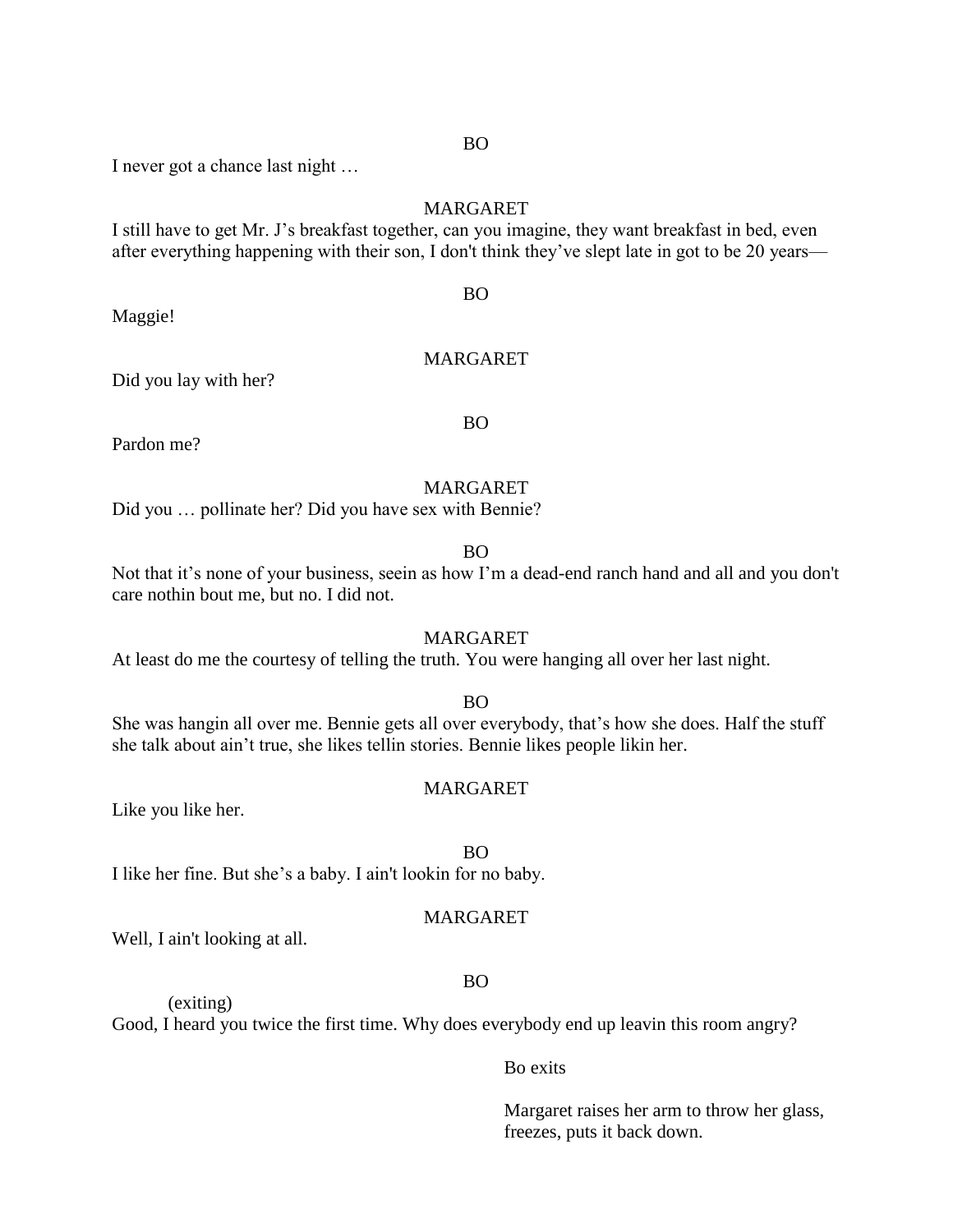I never got a chance last night …

# MARGARET

I still have to get Mr. J's breakfast together, can you imagine, they want breakfast in bed, even after everything happening with their son, I don't think they've slept late in got to be 20 years—

Maggie!

# MARGARET

BO

Did you lay with her?

Pardon me?

# BO

# MARGARET

Did you … pollinate her? Did you have sex with Bennie?

#### BO

Not that it's none of your business, seein as how I'm a dead-end ranch hand and all and you don't care nothin bout me, but no. I did not.

#### MARGARET

At least do me the courtesy of telling the truth. You were hanging all over her last night.

# BO

She was hangin all over me. Bennie gets all over everybody, that's how she does. Half the stuff she talk about ain't true, she likes tellin stories. Bennie likes people likin her.

## MARGARET

Like you like her.

#### BO

I like her fine. But she's a baby. I ain't lookin for no baby.

#### MARGARET

Well, I ain't looking at all.

(exiting)

#### BO

Good, I heard you twice the first time. Why does everybody end up leavin this room angry?

## Bo exits

Margaret raises her arm to throw her glass, freezes, puts it back down.

#### BO